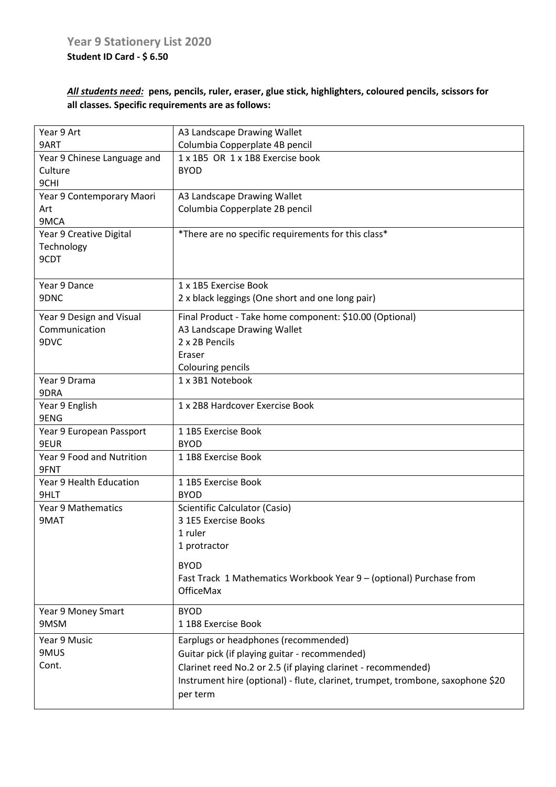## *All students need:* **pens, pencils, ruler, eraser, glue stick, highlighters, coloured pencils, scissors for all classes. Specific requirements are as follows:**

| Year 9 Art                        | A3 Landscape Drawing Wallet                                                     |
|-----------------------------------|---------------------------------------------------------------------------------|
| 9ART                              | Columbia Copperplate 4B pencil                                                  |
| Year 9 Chinese Language and       | 1 x 1B5 OR 1 x 1B8 Exercise book                                                |
| Culture                           | <b>BYOD</b>                                                                     |
| 9CHI                              |                                                                                 |
| Year 9 Contemporary Maori         | A3 Landscape Drawing Wallet                                                     |
| Art                               | Columbia Copperplate 2B pencil                                                  |
| 9MCA                              |                                                                                 |
| Year 9 Creative Digital           | *There are no specific requirements for this class*                             |
| Technology<br>9CDT                |                                                                                 |
|                                   |                                                                                 |
| Year 9 Dance                      | 1 x 1B5 Exercise Book                                                           |
| 9DNC                              | 2 x black leggings (One short and one long pair)                                |
| Year 9 Design and Visual          | Final Product - Take home component: \$10.00 (Optional)                         |
| Communication                     | A3 Landscape Drawing Wallet                                                     |
| 9DVC                              | 2 x 2B Pencils                                                                  |
|                                   | Eraser                                                                          |
|                                   | Colouring pencils                                                               |
| Year 9 Drama<br>9DRA              | 1 x 3B1 Notebook                                                                |
| Year 9 English                    | 1 x 2B8 Hardcover Exercise Book                                                 |
| 9ENG                              |                                                                                 |
| Year 9 European Passport          | 11B5 Exercise Book                                                              |
| 9EUR                              | <b>BYOD</b>                                                                     |
| Year 9 Food and Nutrition<br>9FNT | 11B8 Exercise Book                                                              |
| Year 9 Health Education           | 11B5 Exercise Book                                                              |
| 9HLT                              | <b>BYOD</b>                                                                     |
| <b>Year 9 Mathematics</b>         | Scientific Calculator (Casio)                                                   |
| 9MAT                              | 3 1E5 Exercise Books                                                            |
|                                   | 1 ruler                                                                         |
|                                   | 1 protractor                                                                    |
|                                   | <b>BYOD</b>                                                                     |
|                                   | Fast Track 1 Mathematics Workbook Year 9 - (optional) Purchase from             |
|                                   | <b>OfficeMax</b>                                                                |
| Year 9 Money Smart                | <b>BYOD</b>                                                                     |
| 9MSM                              | 11B8 Exercise Book                                                              |
| Year 9 Music                      | Earplugs or headphones (recommended)                                            |
| 9MUS                              | Guitar pick (if playing guitar - recommended)                                   |
| Cont.                             | Clarinet reed No.2 or 2.5 (if playing clarinet - recommended)                   |
|                                   | Instrument hire (optional) - flute, clarinet, trumpet, trombone, saxophone \$20 |
|                                   | per term                                                                        |
|                                   |                                                                                 |